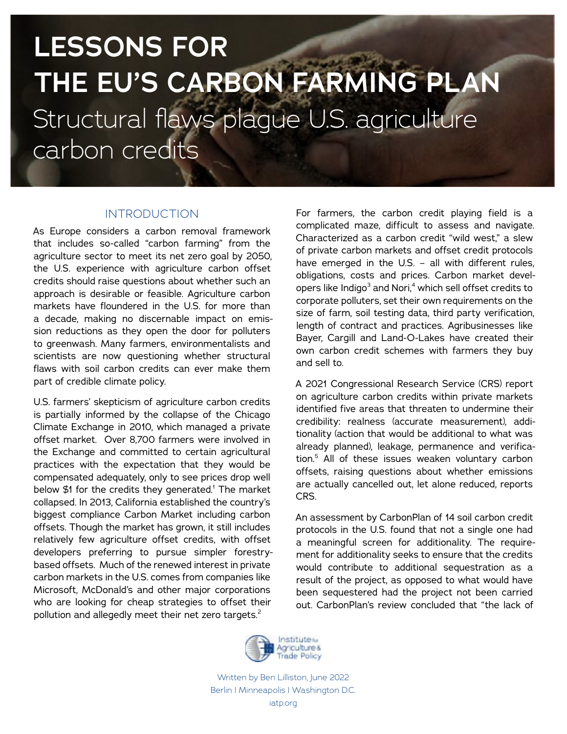# **LESSONS FOR THE EU'S CARBON FARMING PLAN** Structural flaws plague U.S. agriculture carbon credits

## INTRODUCTION

As Europe considers a carbon removal framework that includes so-called "carbon farming" from the agriculture sector to meet its net zero goal by 2050, the U.S. experience with agriculture carbon offset credits should raise questions about whether such an approach is desirable or feasible. Agriculture carbon markets have floundered in the U.S. for more than a decade, making no discernable impact on emission reductions as they open the door for polluters to greenwash. Many farmers, environmentalists and scientists are now questioning whether structural flaws with soil carbon credits can ever make them part of credible climate policy.

U.S. farmers' skepticism of agriculture carbon credits is partially informed by the collapse of the Chicago Climate Exchange in 2010, which managed a private offset market. Over 8,700 farmers were involved in the Exchange and committed to certain agricultural practices with the expectation that they would be compensated adequately, only to see prices drop well below \$1 for the credits they generated.<sup>1</sup> The market collapsed. In 2013, California established the country's biggest compliance Carbon Market including carbon offsets. Though the market has grown, it still includes relatively few agriculture offset credits, with offset developers preferring to pursue simpler forestrybased offsets. Much of the renewed interest in private carbon markets in the U.S. comes from companies like Microsoft, McDonald's and other major corporations who are looking for cheap strategies to offset their pollution and allegedly meet their net zero targets.<sup>2</sup>

For farmers, the carbon credit playing field is a complicated maze, difficult to assess and navigate. Characterized as a carbon credit "wild west," a slew of private carbon markets and offset credit protocols have emerged in the U.S. – all with different rules, obligations, costs and prices. Carbon market developers like Indigo $^{\rm 3}$  and Nori, $^{\rm 4}$  which sell offset credits to corporate polluters, set their own requirements on the size of farm, soil testing data, third party verification, length of contract and practices. Agribusinesses like Bayer, Cargill and Land-O-Lakes have created their own carbon credit schemes with farmers they buy and sell to.

A 2021 Congressional Research Service (CRS) report on agriculture carbon credits within private markets identified five areas that threaten to undermine their credibility: realness (accurate measurement), additionality (action that would be additional to what was already planned), leakage, permanence and verification.<sup>5</sup> All of these issues weaken voluntary carbon offsets, raising questions about whether emissions are actually cancelled out, let alone reduced, reports CRS.

An assessment by CarbonPlan of 14 soil carbon credit protocols in the U.S. found that not a single one had a meaningful screen for additionality. The requirement for additionality seeks to ensure that the credits would contribute to additional sequestration as a result of the project, as opposed to what would have been sequestered had the project not been carried out. CarbonPlan's review concluded that "the lack of



Written by Ben Lilliston, June 2022 Berlin | Minneapolis | Washington D.C. iatp.org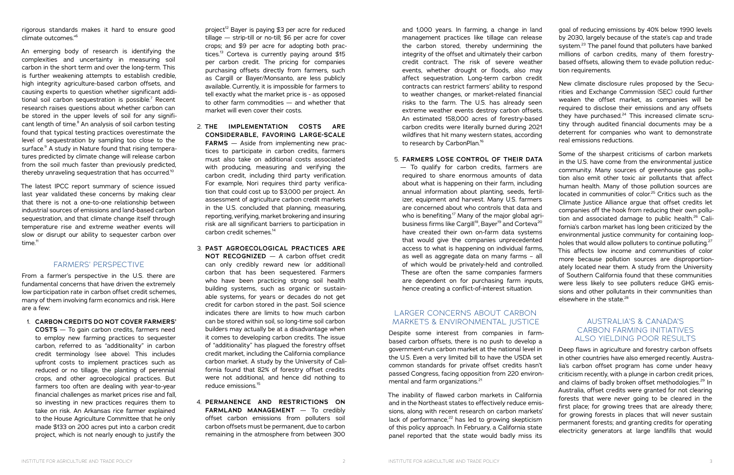5. **FARMERS LOSE CONTROL OF THEIR DATA**  — To qualify for carbon credits, farmers are required to share enormous amounts of data about what is happening on their farm, including annual information about planting, seeds, fertilizer, equipment and harvest. Many U.S. farmers are concerned about who controls that data and who is benefiting.<sup>17</sup> Many of the major global agribusiness firms like Cargill<sup>18</sup>, Bayer<sup>19</sup> and Corteva<sup>20</sup> have created their own on-farm data systems that would give the companies unprecedented access to what is happening on individual farms, as well as aggregate data on many farms – all of which would be privately-held and controlled. These are often the same companies farmers are dependent on for purchasing farm inputs, hence creating a conflict-of-interest situation. Some of the sharpest criticisms of carbon markets in the U.S. have come from the environmental justice community. Many sources of greenhouse gas pollution also emit other toxic air pollutants that affect human health. Many of those pollution sources are located in communities of color.<sup>25</sup> Critics such as the Climate Justice Alliance argue that offset credits let companies off the hook from reducing their own pollution and associated damage to public health.<sup>26</sup> California's carbon market has long been criticized by the environmental justice community for containing loopholes that would allow polluters to continue polluting.<sup>27</sup> This affects low income and communities of color more because pollution sources are disproportionately located near them. A study from the University of Southern California found that these communities were less likely to see polluters reduce GHG emissions and other pollutants in their communities than elsewhere in the state.<sup>28</sup>

and 1,000 years. In farming, a change in land management practices like tillage can release the carbon stored, thereby undermining the integrity of the offset and ultimately their carbon credit contract. The risk of severe weather events, whether drought or floods, also may affect sequestration. Long-term carbon credit contracts can restrict farmers' ability to respond to weather changes, or market-related financial risks to the farm. The U.S. has already seen extreme weather events destroy carbon offsets. An estimated 158,000 acres of forestry-based carbon credits were literally burned during 2021 wildfires that hit many western states, according to research by CarbonPlan.<sup>16</sup> goal of reducing emissions by 40% below 1990 levels by 2030, largely because of the state's cap and trade system.<sup>23</sup> The panel found that polluters have banked millions of carbon credits, many of them forestrybased offsets, allowing them to evade pollution reduction requirements. New climate disclosure rules proposed by the Securities and Exchange Commission (SEC) could further weaken the offset market, as companies will be required to disclose their emissions and any offsets they have purchased. $24$  This increased climate scrutiny through audited financial documents may be a deterrent for companies who want to demonstrate real emissions reductions.

## LARGER CONCERNS ABOUT CARBON MARKETS & ENVIRONMENTAL JUSTICE

panel reported that the state would badly miss its

An emerging body of research is identifying the complexities and uncertainty in measuring soil carbon in the short term and over the long-term. This is further weakening attempts to establish credible, high integrity agriculture-based carbon offsets, and causing experts to question whether significant additional soil carbon sequestration is possible. $7$  Recent research raises questions about whether carbon can be stored in the upper levels of soil for any significant length of time.<sup>8</sup> An analysis of soil carbon testing found that typical testing practices overestimate the level of sequestration by sampling too close to the surface.<sup>9</sup> A study in Nature found that rising temperatures predicted by climate change will release carbon from the soil much faster than previously predicted, thereby unraveling sequestration that has occurred.<sup>10</sup>

The latest IPCC report summary of science issued last year validated these concerns by making clear that there is not a one-to-one relationship between industrial sources of emissions and land-based carbon sequestration, and that climate change itself through temperature rise and extreme weather events will slow or disrupt our ability to sequester carbon over time.<sup>11</sup>

> Despite some interest from companies in farmbased carbon offsets, there is no push to develop a government-run carbon market at the national level in the U.S. Even a very limited bill to have the USDA set common standards for private offset credits hasn't passed Congress, facing opposition from 220 environmental and farm organizations.<sup>21</sup> The inability of flawed carbon markets in California and in the Northeast states to effectively reduce emissions, along with recent research on carbon markets' lack of performance, $22$  has led to growing skepticism of this policy approach. In February, a California state ALSO YIELDING POOR RESULTS Deep flaws in agriculture and forestry carbon offsets in other countries have also emerged recently. Australia's carbon offset program has come under heavy criticism recently, with a plunge in carbon credit prices, and claims of badly broken offset methodologies.<sup>29</sup> In Australia, offset credits were granted for not clearing forests that were never going to be cleared in the first place; for growing trees that are already there; for growing forests in places that will never sustain permanent forests; and granting credits for operating electricity generators at large landfills that would

project<sup>12</sup> Bayer is paying \$3 per acre for reduced tillage — strip-till or no-till; \$6 per acre for cover crops; and \$9 per acre for adopting both practices.<sup>13</sup> Corteva is currently paying around  $$15$ per carbon credit. The pricing for companies purchasing offsets directly from farmers, such as Cargill or Bayer/Monsanto, are less publicly available. Currently, it is impossible for farmers to tell exactly what the market price is - as opposed to other farm commodities — and whether that market will even cover their costs.

# AUSTRALIA'S & CANADA'S CARBON FARMING INITIATIVES

rigorous standards makes it hard to ensure good climate outcomes."6

#### FARMERS' PERSPECTIVE

From a farmer's perspective in the U.S. there are fundamental concerns that have driven the extremely low participation rate in carbon offset credit schemes, many of them involving farm economics and risk. Here are a few:

1. **CARBON CREDITS DO NOT COVER FARMERS' COSTS** — To gain carbon credits, farmers need to employ new farming practices to sequester carbon, referred to as "additionality" in carbon credit terminology (see above). This includes upfront costs to implement practices such as reduced or no tillage, the planting of perennial crops, and other agroecological practices. But farmers too often are dealing with year-to-year financial challenges as market prices rise and fall, so investing in new practices requires them to take on risk. An Arkansas rice farmer explained to the House Agriculture Committee that he only made \$133 on 200 acres put into a carbon credit project, which is not nearly enough to justify the

- 2. **THE IMPLEMENTATION COSTS ARE CONSIDERABLE, FAVORING LARGE-SCALE FARMS** — Aside from implementing new practices to participate in carbon credits, farmers must also take on additional costs associated with producing, measuring and verifying the carbon credit, including third party verification. For example, Nori requires third party verification that could cost up to \$3,000 per project. An assessment of agriculture carbon credit markets in the U.S. concluded that planning, measuring, reporting, verifying, market brokering and insuring risk are all significant barriers to participation in carbon credit schemes.<sup>14</sup>
- 3. **PAST AGROECOLOGICAL PRACTICES ARE NOT RECOGNIZED** — A carbon offset credit can only credibly reward new (or additional) carbon that has been sequestered. Farmers who have been practicing strong soil health building systems, such as organic or sustainable systems, for years or decades do not get credit for carbon stored in the past. Soil science indicates there are limits to how much carbon can be stored within soil, so long-time soil carbon builders may actually be at a disadvantage when it comes to developing carbon credits. The issue of "additionality" has plagued the forestry offset credit market, including the California compliance carbon market. A study by the University of California found that 82% of forestry offset credits were not additional, and hence did nothing to reduce emissions.<sup>15</sup>
- 4. **PERMANENCE AND RESTRICTIONS ON FARMLAND MANAGEMENT** — To credibly offset carbon emissions from polluters soil carbon offsets must be permanent, due to carbon remaining in the atmosphere from between 300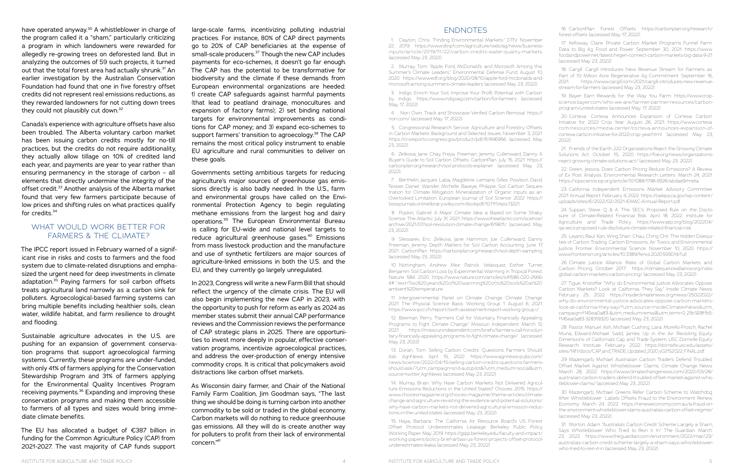have operated anyway.<sup>30</sup> A whistleblower in charge of the program called it a "sham," particularly criticizing a program in which landowners were rewarded for allegedly re-growing trees on deforested land. But in analyzing the outcomes of 59 such projects, it turned out that the total forest area had actually shrunk.<sup>31</sup> An earlier investigation by the Australian Conservation Foundation had found that one in five forestry offset credits did not represent real emissions reductions, as they rewarded landowners for not cutting down trees they could not plausibly cut down.<sup>32</sup>

Canada's experience with agriculture offsets have also been troubled. The Alberta voluntary carbon market has been issuing carbon credits mostly for no-till practices, but the credits do not require additionality, they actually allow tillage on 10% of credited land each year, and payments are year to year rather than ensuring permanency in the storage of carbon – all elements that directly undermine the integrity of the offset credit.<sup>33</sup> Another analysis of the Alberta market found that very few farmers participate because of low prices and shifting rules on what practices qualify for credits.<sup>34</sup>

#### WHAT WOULD WORK BETTER FOR FARMERS & THE CLIMATE?

The IPCC report issued in February warned of a significant rise in risks and costs to farmers and the food system due to climate-related disruptions and emphasized the urgent need for deep investments in climate adaptation.35 Paying farmers for soil carbon offsets treats agricultural land narrowly as a carbon sink for polluters. Agroecological-based farming systems can bring multiple benefits including healthier soils, clean water, wildlife habitat, and farm resilience to drought and flooding.

Sustainable agriculture advocates in the U.S. are pushing for an expansion of government conservation programs that support agroecological farming systems. Currently, these programs are under-funded, with only 41% of farmers applying for the Conservation Stewardship Program and 31% of farmers applying for the Environmental Quality Incentives Program receiving payments.<sup>36</sup> Expanding and improving these conservation programs and making them accessible to farmers of all types and sizes would bring immediate climate benefits.

The EU has allocated a budget of €387 billion in funding for the Common Agriculture Policy (CAP) from 2021-2027. The vast majority of CAP funds support

large-scale farms, incentivizing polluting industrial practices. For instance, 80% of CAP direct payments go to 20% of CAP beneficiaries at the expense of small-scale producers.<sup>37</sup> Though the new CAP includes payments for eco-schemes, it doesn't go far enough. The CAP has the potential to be transformative for biodiversity and the climate if these demands from European environmental organizations are heeded: 1) create CAP safeguards against harmful payments (that lead to peatland drainage, monocultures and expansion of factory farms); 2) set binding national targets for environmental improvements as conditions for CAP money; and 3) expand eco-schemes to support farmers' transition to agroecology.<sup>38</sup> The CAP remains the most critical policy instrument to enable EU agriculture and rural communities to deliver on these goals.

Governments setting ambitious targets for reducing agriculture's major sources of greenhouse gas emissions directly is also badly needed. In the U.S., farm and environmental groups have called on the Environmental Protection Agency to begin regulating methane emissions from the largest hog and dairy operations.39 The European Environmental Bureau is calling for EU-wide and national level targets to reduce agricultural greenhouse gases.<sup>40</sup> Emissions from mass livestock production and the manufacture and use of synthetic fertilizers are major sources of agriculture-linked emissions in both the U.S. and the EU, and they currently go largely unregulated.

In 2023, Congress will write a new Farm Bill that should reflect the urgency of the climate crisis. The EU will also begin implementing the new CAP in 2023, with the opportunity to push for reform as early as 2024 as member states submit their annual CAP performance reviews and the Commission reviews the performance of CAP strategic plans in 2025. There are opportunities to invest more deeply in popular, effective conservation programs, incentivize agroecological practices, and address the over-production of energy intensive commodity crops. It is critical that policymakers avoid distractions like carbon offset markets.

As Wisconsin dairy farmer, and Chair of the National Family Farm Coalition, Jim Goodman says, "The last thing we should be doing is turning carbon into another commodity to be sold or traded in the global economy. Carbon markets will do nothing to reduce greenhouse gas emissions. All they will do is create another way for polluters to profit from their lack of environmental concern."41

#### ENDNOTES

22. Green, Jessica. Does Carbon Pricing Reduce Emissions? A Review of Ex Post Analysis. Environmental Research Letters. March 24, 2021. https://iopscience.iop.org/article/10.1088/1748-9326/abdae9/meta

1. Clayton, Chris. "Finding Environmental Markets." DTN. November 22, 2019. https://www.dtnpf.com/agriculture/web/ag/news/businessinputs/article/2019/11/22/carbon-credits-water-quality-markets (accessed May 23, 2022).

2. Murray, Tom. "Apple, Ford, McDonald's and Microsoft Among this Summer's Climate Leaders." Environmental Defense Fund. August 10, 2020. https://www.edf.org/blog/2020/08/10/apple-ford-mcdonalds-andmicrosoft-among-summers-climate-leaders (accessed May 23, 2022).

3. Indigo. Enrich Your Soil, Improve Your Profit Potential with Carbon by Indigo. https://www.indigoag.com/carbon/for-farmers (accessed May 17, 2022).

4. . Nori. Own, Track and Showcase Verified Carbon Removal. https:// nori.com/ (accessed May 17, 2022).

> 27. Tigue, Kristoffer. "Why do Environmental Justice Advocates Oppose Carbon Markets? Look at California, They Say." Inside Climate News. February 25, 2022. https://insideclimatenews.org/news/25022022/ why-do-environmental-justice-advocates-oppose-carbon-marketslook-at-california-they-say/?utm\_source=InsideClimate+News&utm\_ campaign=f145ea0a83-&utm\_medium=email&utm\_term=0\_29c928ffb5 f145ea0a83-328319320 (accessed May 23, 2022).

> 28. Pastor, Manuel. Ash, Michael. Cushing, Lara. Morello-Frosch, Rachel. Muna, Edward-Michael. Sadd, James. Up in the Air: Revisiting Equity Dimensions of California's Cap and Trade System. USC Dornsife Equity Research Institute. February 2022. https://dornsife.usc.edu/assets/ sites/1411/docs/CAP and TRADE Updated 2020 v02152022 FINAL.pdf

5. Congressional Research Service. Agriculture and Forestry Offsets in Carbon Markets: Background and Selected Issues. November 3, 2021. https://crsreports.congress.gov/product/pdf/R/R46956 (accessed May 23, 2022).

6. Zelikova, Jane. Chay, Freya. Freeman, Jeremy. Cullenward, Danny. A Buyer's Guide to Soil Carbon Offsets. CarbonPlan. July 15, 2021. https:// carbonplan.org/research/soil-protocols-explainer (accessed May 23, 2022).

7. Berthelin, Jacques. Laba, Magdeline. Lemaire, Gilles. Powlson, David. Tessier, Daniel. Wander, Michelle. Baveye, Philippe. Soil Carbon Sequestration for Climate Mitigation: Mineralization of Organic Inputs as an Overlooked Limitation. European Journal of Soil Science. 2022. https:// bsssjournals.onlinelibrary.wiley.com/doi/epdf/10.1111/ejss.13221

8. Popkin, Gabriel. A Major Climate Idea is Based on Some Shaky Science. The Atlantic. July 31, 2021. https://www.theatlantic.com/science/ archive/2021/07/soil-revolution-climate-change/619611/ (accessed May 23, 2022).

9. Slessarev, Eric. Zelikova, Jane. Hammon, Joe. Cullenward, Danny. Freeman, Jeremy. Depth Matters for Soil Carbon Accounting. June 17, 2021. CarbonPlan https://carbonplan.org/research/soil-depth-sampling (accessed May 23, 2022).

10. Nottingham, Andrew. Meir, Patrick. Velasquez, Esther. Turner, Benjamin. Soil Carbon Loss by Experimental Warming in Tropical Forest. Nature. 584. 2020. https://www.nature.com/articles/s41586-020-2566- 4#:~:text=Two%20years%20of%20warming%20of,to%20soils%20at%20 ambient%20temperature

11. Intergovernmental Panel on Climate Change. Climate Change 2021: The Physical Science Basis. Working Group 1. August 6, 2021. https://www.ipcc.ch/report/sixth-assessment-report-working-group-i/

12. Beeman, Perry. "Farmers Call for Voluntary, Financially Appealing Programs to Fight Climate Change." Missouri Independent. March 12, 2021. https://missouriindependent.com/briefs/farmers-call-for-voluntary-financially-appealing-programs-to-fight-climate-change/ (accessed May 23, 2022).

13. Doran, Tom. Selling Carbon Credits: Questions Farmers Should Ask. AgriNews. April 15, 2022. https://www.agrinews-pubs.com/ news/science/2022/04/15/selling-carbon-credits-questions-farmersshould-ask/?utm\_campaign=snd-autopilot&?utm\_medium=social&utm\_ source=twitter\_AgriNews (accessed May 23, 2022).

14. Murray, Brian. Why Have Carbon Markets Not Delivered Agriculture Emissions Reductions in the United States? Choices. 2015. https:// www.choicesmagazine.org/choices-magazine/theme-articles/climatechange-and-agriculture-revisiting-the-evidence-and-potential-solutions/ why-have-carbon-markets-not-delivered-agricultural-emission-reductions-in-the-united-states (accessed May 23, 2022).

15. Haya, Barbara. The California Air Resource Board's US Forest Offset Protocol Underestimates Leakage. Berkeley Public Policy, Working Paper. May 2019. https://gspp.berkeley.edu/faculty-and-impact/ working-papers/policy-brief-arbas-us-forest-projects-offset-protocolunderestimates-leaka (accessed May 23, 2022).

16. CarbonPlan. Forest Offsets. https://carbonplan.org/research/ forest-offsets (accessed May 17, 2022).

17. Kelloway, Claire. Private Carbon Market Programs Funnel Farm Data to Big Ag. Food and Power. September 30, 2021. https://www. foodandpower.net/latest/regen-connect-carbon-markets-big-data-9-21 (accessed May 23, 2022).

18. Cargill. Cargill Introduces New Revenue Stream for Farmers as Part of 10 Million Acre Regenerative Ag Commitment. September 16, 2021. https://www.cargill.com/2021/cargill-introduces-new-revenuestream-for-farmers (accessed May 23, 2022).

19. Bayer. Earn Rewards for the Way You Farm. https://www.cropscience.bayer.com/who-we-are/farmer-partner-resources/carbonprogram/united-states (accessed May 17, 2022).

20. Corteva. Corteva Announces Expansion of Corteva Carbon Initiative for 2022 Crop Year. August 26, 2021. https://www.corteva. com/resources/media-center/corteva-announces-expansion-ofcorteva-carbon-initiative-for-2022-crop-year.html (accessed May 23, 2022).

21. Friends of the Earth. 222 Organizations Reject the Growing Climate Solutions Act. October 15, 2020. https://foe.org/news/organizationsreject-growing-climate-solutions-act/ (accessed May 23, 2022).

23. California Independent Emissions Market Advisory Committee. 2021 Annual Report. February 4, 2022. https://calepa.ca.gov/wp-content/ uploads/sites/6/2022/02/2021-IEMAC-Annual-Report.pdf

24. Suppan, Steve. Q & A: The SEC's Proposed Rule on the Disclosure of Climate-Related Financial Risk. April 18, 2022. Institute for Agriculture and Trade Policy. https://www.iatp.org/blog/202204/ qa-secs-proposed-rule-disclosure-climate-related-financial-risk

25. Lejano, Raul. Kan, Wing Shan. Chau, Ching Chit. The Hidden Disequities of Carbon Trading: Carbon Emissions, Air Toxics and Environmental Justice. Frontier Environmental Science. November 10, 2020. https:// www.frontiersin.org/articles/10.3389/fenvs.2020.593014/full

26. Climate Justice Alliance. Risks of Global Carbon Markets and Carbon Pricing. October 2017. https://climatejusticealliance.org/risksglobal-carbon-markets-carbon-pricing/ (accessed May 23, 2022).

29. Mazengarb, Michael. Australian Carbon Traders Defend Troubled Offset Market Against Whistleblower Claims. Climate Change News. March 28, 2022. https://www.climatechangenews.com/2022/03/28/ australian-carbon-traders-defend-troubled-offset-market-against-whistleblower-claims/ (accessed May 23, 2022).

30. Mazengarb, Michael. Greens Refer Carbon Scheme to Watchdog After Whistleblower Labels Offsets Fraud to the Environment. Renew Economy. March 24, 2022. https://reneweconomy.com.au/a-fraud-onthe-environment-whistleblower-slams-australias-carbon-offset-regime/ (accessed May 23, 2022).

31. Morton, Adam. "Australia's Carbon Credit Scheme Largely a Sham, Says Whistleblower Who Tried to Rein it In." The Guardian. March 23, 2022. https://www.theguardian.com/environment/2022/mar/23/ australias-carbon-credit-scheme-largely-a-sham-says-whistleblowerwho-tried-to-rein-it-in (accessed May 23, 2022).